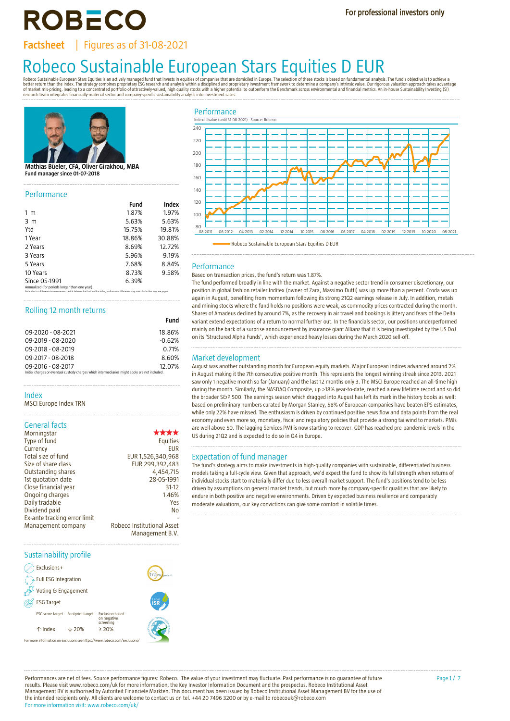**ROBECO** 

**Factsheet** | Figures as of 31-08-2021

# Robeo Sustainable European Stars Equities is an actively managed fund that invests in equities of companies that are domiciled in Europe. The selection of these stocks is based on fundamental analysis. The fund's objective

research team integrates financially-material sector and company-specific sustainability analysis into investment cases.



#### **Mathias Büeler, CFA, Oliver Girakhou, MBA Fund manager since 01-07-2018**

#### Performance

|                                                                                                                                                                                                   | Fund   | Index  |
|---------------------------------------------------------------------------------------------------------------------------------------------------------------------------------------------------|--------|--------|
| 1 <sub>m</sub>                                                                                                                                                                                    | 1.87%  | 1.97%  |
| 3 <sub>m</sub>                                                                                                                                                                                    | 5.63%  | 5.63%  |
| Ytd                                                                                                                                                                                               | 15.75% | 19.81% |
| 1 Year                                                                                                                                                                                            | 18.86% | 30.88% |
| 2 Years                                                                                                                                                                                           | 8.69%  | 12.72% |
| 3 Years                                                                                                                                                                                           | 5.96%  | 9.19%  |
| 5 Years                                                                                                                                                                                           | 7.68%  | 8.84%  |
| 10 Years                                                                                                                                                                                          | 8.73%  | 9.58%  |
| Since 05-1991                                                                                                                                                                                     | 6.39%  |        |
| Annualized (for periods longer than one year)<br>Note: due to a difference in measurement period between the fund and the index, performance differences may arise. For further info, see page 4. |        |        |

# Rolling 12 month returns

|                                                                                                | .        |
|------------------------------------------------------------------------------------------------|----------|
| 09-2020 - 08-2021                                                                              | 18.86%   |
| 09-2019 - 08-2020                                                                              | $-0.62%$ |
| 09-2018 - 08-2019                                                                              | 0.71%    |
| 09-2017 - 08-2018                                                                              | 8.60%    |
| 09-2016 - 08-2017                                                                              | 12.07%   |
| Initial charges or eventual custody charges which intermediaries might apply are not included. |          |

#### Index

MSCI Europe Index TRN

|  | <b>General facts</b> |
|--|----------------------|
|  |                      |

| Morningstar                  | ****                       |
|------------------------------|----------------------------|
| Type of fund                 | Equities                   |
| Currency                     | <b>EUR</b>                 |
| Total size of fund           | EUR 1,526,340,968          |
| Size of share class          | EUR 299,392,483            |
| Outstanding shares           | 4,454,715                  |
| 1st quotation date           | 28-05-1991                 |
| Close financial year         | $31-12$                    |
| Ongoing charges              | 1.46%                      |
| Daily tradable               | Yes                        |
| Dividend paid                | No.                        |
| Ex-ante tracking error limit |                            |
| Management company           | Robeco Institutional Asset |
|                              | Management B.V.            |

#### Sustainability profile

| Exclusions+                     |                  |                                                                           |             |
|---------------------------------|------------------|---------------------------------------------------------------------------|-------------|
| $\bigcirc$ Full ESG Integration |                  |                                                                           | trans parer |
| Voting & Engagement             |                  |                                                                           |             |
| <b>ESG Target</b>               |                  |                                                                           |             |
| ESG score target                | Footprint target | <b>Exclusion based</b><br>on negative<br>screening                        |             |
| $\uparrow$ Index                | $\sqrt{20\%}$    | > 20%                                                                     |             |
|                                 |                  | For more information on exclusions see https://www.robeco.com/exclusions/ |             |



# Performance

**Fund**

## Based on transaction prices, the fund's return was 1.87%.

The fund performed broadly in line with the market. Against a negative sector trend in consumer discretionary, our position in global fashion retailer Inditex (owner of Zara, Massimo Dutti) was up more than a percent. Croda was up again in August, benefiting from momentum following its strong 21Q2 earnings release in July. In addition, metals and mining stocks where the fund holds no positions were weak, as commodity prices contracted during the month. Shares of Amadeus declined by around 7%, as the recovery in air travel and bookings is jittery and fears of the Delta variant extend expectations of a return to normal further out. In the financials sector, our positions underperformed mainly on the back of a surprise announcement by insurance giant Allianz that it is being investigated by the US DoJ on its 'Structured Alpha Funds', which experienced heavy losses during the March 2020 sell-off.

### Market development

August was another outstanding month for European equity markets. Major European indices advanced around 2% in August making it the 7th consecutive positive month. This represents the longest winning streak since 2013. 2021 saw only 1 negative month so far (January) and the last 12 months only 3. The MSCI Europe reached an all-time high during the month. Similarly, the NASDAQ Composite, up >18% year-to-date, reached a new lifetime record and so did the broader S&P 500. The earnings season which dragged into August has left its mark in the history books as well: based on preliminary numbers curated by Morgan Stanley, 58% of European companies have beaten EPS estimates, while only 22% have missed. The enthusiasm is driven by continued positive news flow and data points from the real economy and even more so, monetary, fiscal and regulatory policies that provide a strong tailwind to markets. PMIs are well above 50. The lagging Services PMI is now starting to recover. GDP has reached pre-pandemic levels in the US during 21Q2 and is expected to do so in Q4 in Europe.

#### Expectation of fund manager

The fund's strategy aims to make investments in high-quality companies with sustainable, differentiated business models taking a full-cycle view. Given that approach, we'd expect the fund to show its full strength when returns of individual stocks start to materially differ due to less overall market support. The fund's positions tend to be less driven by assumptions on general market trends, but much more by company-specific qualities that are likely to endure in both positive and negative environments. Driven by expected business resilience and comparably moderate valuations, our key convictions can give some comfort in volatile times.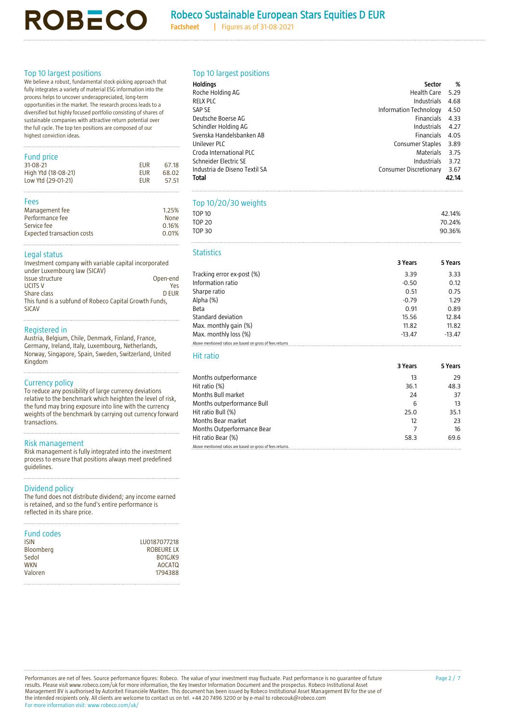# Robeco Sustainable European Stars Equities D EUR

**Factsheet |** Figures as of 31-08-2021

# Top 10 largest positions

We believe a robust, fundamental stock-picking approach that fully integrates a variety of material ESG information into the process helps to uncover underappreciated, long-term opportunities in the market. The research process leads to a diversified but highly focused portfolio consisting of shares of sustainable companies with attractive return potential over the full cycle. The top ten positions are composed of our highest conviction ideas.

**ROBECO** 

# Fund price

| 1.9111917771807     |            |       |
|---------------------|------------|-------|
| 31-08-21            | <b>FUR</b> | 67.18 |
| High Ytd (18-08-21) | <b>FUR</b> | 68.02 |
| Low Ytd (29-01-21)  | <b>FUR</b> | 57.51 |
|                     |            |       |

# Fees

| Management fee                    | 1.25% |
|-----------------------------------|-------|
| Performance fee                   | None  |
| Service fee                       | 0.16% |
| <b>Expected transaction costs</b> | 0.01% |

#### Legal status

| Investment company with variable capital incorporated<br>under Luxembourg law (SICAV) |          |
|---------------------------------------------------------------------------------------|----------|
| Issue structure                                                                       | Open-end |
| <b>UCITS V</b>                                                                        | Yes.     |
| Share class                                                                           | D EUR    |
| This fund is a subfund of Robeco Capital Growth Funds,                                |          |
| <b>SICAV</b>                                                                          |          |
|                                                                                       |          |

#### Registered in

Austria, Belgium, Chile, Denmark, Finland, France, Germany, Ireland, Italy, Luxembourg, Netherlands, Norway, Singapore, Spain, Sweden, Switzerland, United Kingdom

### Currency policy

To reduce any possibility of large currency deviations relative to the benchmark which heighten the level of risk, the fund may bring exposure into line with the currency weights of the benchmark by carrying out currency forward transactions.

# Risk management

Risk management is fully integrated into the investment process to ensure that positions always meet predefined guidelines.

#### Dividend policy

The fund does not distribute dividend; any income earned is retained, and so the fund's entire performance is reflected in its share price.

| <b>Fund codes</b> |               |
|-------------------|---------------|
| ISIN              | LU0187077218  |
| Bloomberg         | ROBEURE LX    |
| Sedol             | BO1GJK9       |
| WKN               | <b>AOCATO</b> |
| Valoren           | 1794388       |
|                   |               |

|  | Top 10 largest positions |
|--|--------------------------|
|  |                          |

| <b>Holdings</b>               | Sector                 | %     |
|-------------------------------|------------------------|-------|
| Roche Holding AG              | Health Care            | 5.29  |
| <b>RELX PLC</b>               | <b>Industrials</b>     | 4.68  |
| SAP SE                        | Information Technology | 4.50  |
| Deutsche Boerse AG            | <b>Financials</b>      | 4.33  |
| Schindler Holding AG          | <b>Industrials</b>     | 4.27  |
| Svenska Handelsbanken AB      | <b>Financials</b>      | 4.05  |
| Unilever PLC                  | Consumer Staples       | 3.89  |
| Croda International PLC       | <b>Materials</b>       | 3.75  |
| Schneider Electric SE         | Industrials            | 3.72  |
| Industria de Diseno Textil SA | Consumer Discretionary | 3.67  |
| Total                         |                        | 42.14 |

# Top 10/20/30 weights

| <b>TOP 10</b>                                                                                                                                                                                                                     |          | 42.14%   |
|-----------------------------------------------------------------------------------------------------------------------------------------------------------------------------------------------------------------------------------|----------|----------|
| <b>TOP 20</b>                                                                                                                                                                                                                     |          | 70.24%   |
| <b>TOP 30</b>                                                                                                                                                                                                                     |          | 90.36%   |
| <b>Statistics</b>                                                                                                                                                                                                                 |          |          |
|                                                                                                                                                                                                                                   | 3 Years  | 5 Years  |
| Tracking error ex-post (%)                                                                                                                                                                                                        | 3.39     | 3.33     |
| Information ratio                                                                                                                                                                                                                 | $-0.50$  | 0.12     |
| Sharpe ratio                                                                                                                                                                                                                      | 0.51     | 0.75     |
| Alpha (%)                                                                                                                                                                                                                         | $-0.79$  | 1.29     |
| Beta                                                                                                                                                                                                                              | 0.91     | 0.89     |
| Standard deviation                                                                                                                                                                                                                | 15.56    | 12.84    |
| Max. monthly gain (%)                                                                                                                                                                                                             | 11.82    | 11.82    |
| Max. monthly loss (%)                                                                                                                                                                                                             | $-13.47$ | $-13.47$ |
| Above mentioned ratios are based on gross of fees returns                                                                                                                                                                         |          |          |
| <b>Hit ratio</b>                                                                                                                                                                                                                  |          |          |
|                                                                                                                                                                                                                                   | 3 Years  | 5 Years  |
| Months outperformance                                                                                                                                                                                                             | 13       | 29       |
| Hit ratio (%)                                                                                                                                                                                                                     | 36.1     | 48.3     |
| $\mathbf{r}$ , and a set of the set of the set of the set of the set of the set of the set of the set of the set of the set of the set of the set of the set of the set of the set of the set of the set of the set of the set of |          |          |

| HII Fatio (%)                                              | 36.I | 48.3 |
|------------------------------------------------------------|------|------|
| Months Bull market                                         | 24   | 37   |
| Months outperformance Bull                                 | 6    | 13   |
| Hit ratio Bull (%)                                         | 25.0 | 35.1 |
| Months Bear market                                         | 12   | 23   |
| Months Outperformance Bear                                 |      | 16   |
| Hit ratio Bear (%)                                         | 58.3 | 69.6 |
| Above mentioned ratios are based on gross of fees returns. |      |      |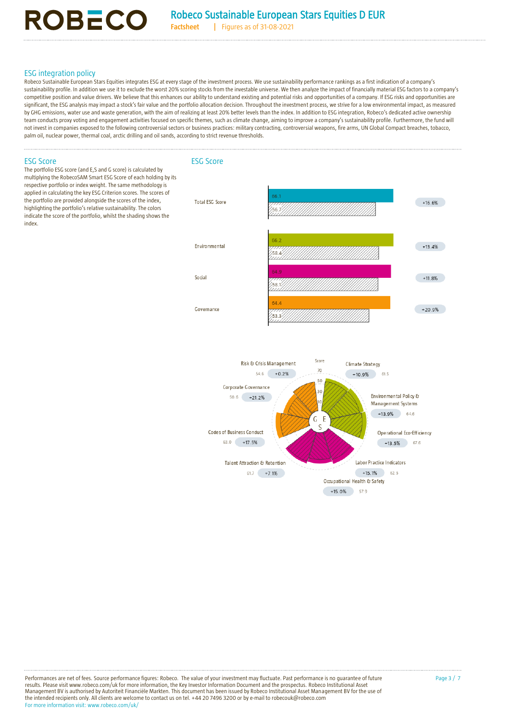# ESG integration policy

Robeco Sustainable European Stars Equities integrates ESG at every stage of the investment process. We use sustainability performance rankings as a first indication of a company's sustainability profile. In addition we use it to exclude the worst 20% scoring stocks from the investable universe. We then analyze the impact of financially material ESG factors to a company's competitive position and value drivers. We believe that this enhances our ability to understand existing and potential risks and opportunities of a company. If ESG risks and opportunities are significant, the ESG analysis may impact a stock's fair value and the portfolio allocation decision. Throughout the investment process, we strive for a low environmental impact, as measured by GHG emissions, water use and waste generation, with the aim of realizing at least 20% better levels than the index. In addition to ESG integration, Robeco's dedicated active ownership team conducts proxy voting and engagement activities focused on specific themes, such as climate change, aiming to improve a company's sustainability profile. Furthermore, the fund will not invest in companies exposed to the following controversial sectors or business practices: military contracting, controversial weapons, fire arms, UN Global Compact breaches, tobacco, palm oil, nuclear power, thermal coal, arctic drilling and oil sands, according to strict revenue thresholds.





Performances are net of fees. Source performance figures: Robeco. The value of your investment may fluctuate. Past performance is no guarantee of future results. Please visit www.robeco.com/uk for more information, the Key Investor Information Document and the prospectus. Robeco Institutional Asset Management BV is authorised by Autoriteit Financiële Markten. This document has been issued by Robeco Institutional Asset Management BV for the use of<br>the intended recipients only. All clients are welcome to contact us on For more information visit: www.robeco.com/uk/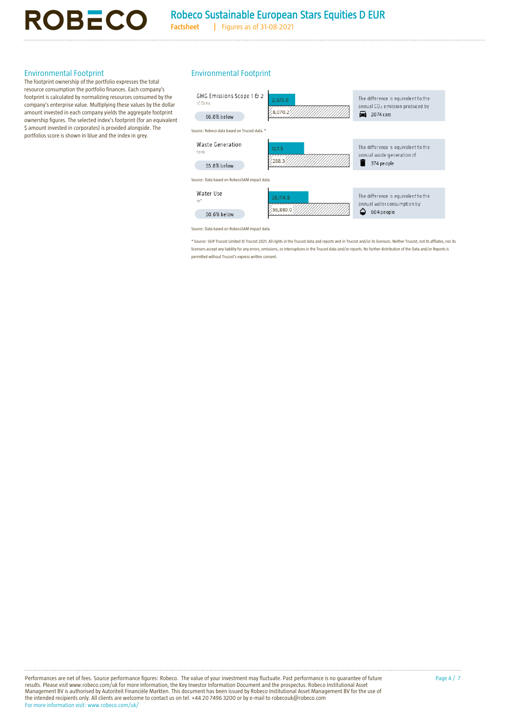**Factsheet |** Figures as of 31-08-2021

# Environmental Footprint

The footprint ownership of the portfolio expresses the total resource consumption the portfolio finances. Each company's footprint is calculated by normalizing resources consumed by the company's enterprise value. Multiplying these values by the dollar amount invested in each company yields the aggregate footprint ownership figures. The selected index's footprint (for an equivalent \$ amount invested in corporates) is provided alongside. The portfolios score is shown in blue and the index in grey.

**ROBECO** 

# Environmental Footprint

| GHG Emissions Scope 1 & 2<br>The difference is equivalent to the<br>2,679.0<br>$t$ CO <sub>2</sub> eq<br>annual CO <sub>2</sub> emission produced by |  |
|------------------------------------------------------------------------------------------------------------------------------------------------------|--|
| 8.070.2                                                                                                                                              |  |
| $\Box$ 2074 cars<br>66.8% below                                                                                                                      |  |
| Source: Robeco data based on Trucost data. *                                                                                                         |  |
| Waste Generation<br>The difference is equivalent to the<br>127.5<br>tons<br>annual waste generation of                                               |  |
| 288.3<br>374 pe ople<br>55.8% below                                                                                                                  |  |
| Source: Data based on RobecoSAM impact data.                                                                                                         |  |
| Water Use<br>The difference is equivalent to the<br>28,114.8<br>m <sup>3</sup><br>annual water consumption by                                        |  |
| 56,880.0<br>604 pe ople<br>50.6% below                                                                                                               |  |

Source: Data based on RobecoSAM impact data.

\* Source: S&P Trucost Limited © Trucost 2021. All rights in the Trucost data and reports vest in Trucost and/or its licensors. Neither Trucost, not its affliates, nor its licensors accept any liability for any errors, omissions, or interruptions in the Trucost data and/or reports. No further distribution of the Data and/or Reports is permitted without Trucost's express written consent.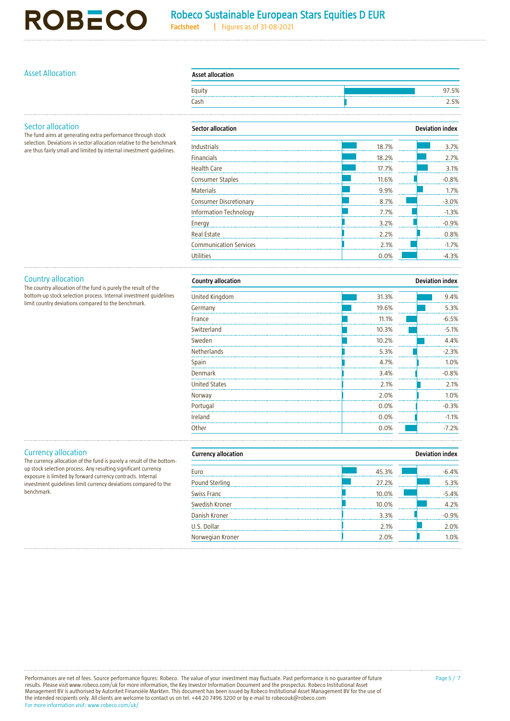# **ROBECO**

# Robeco Sustainable European Stars Equities D EUR

**Factsheet |** Figures as of 31-08-2021

# Asset Allocation **Asset allocation**

| <b>Asset allocation</b> |  |       |
|-------------------------|--|-------|
| Equity                  |  | 97.5% |
| Cash                    |  | 2.5%  |

# Sector allocation

The fund aims at generating extra performance through stock selection. Deviations in sector allocation relative to the benchmark are thus fairly small and limited by internal investment guidelines.

| <b>Sector allocation</b>      |       | <b>Deviation index</b> |  |
|-------------------------------|-------|------------------------|--|
| <b>Industrials</b>            | 18.7% | 3.7%                   |  |
| <b>Financials</b>             | 18.2% | 2.7%                   |  |
| <b>Health Care</b>            | 17.7% | 3.1%                   |  |
| <b>Consumer Staples</b>       | 11.6% | $-0.8%$                |  |
| <b>Materials</b>              | 9.9%  | 1.7%                   |  |
| <b>Consumer Discretionary</b> | 8.7%  | $-3.0%$                |  |
| <b>Information Technology</b> | 7.7%  | $-1.3%$                |  |
| Energy                        | 3.2%  | $-0.9%$                |  |
| <b>Real Estate</b>            | 2.2%  | 0.8%                   |  |
| <b>Communication Services</b> | 2.1%  | $-1.7%$                |  |
| <b>Utilities</b>              | 0.0%  | $-4.3%$                |  |

# Country allocation

The country allocation of the fund is purely the result of the bottom-up stock selection process. Internal investment guidelines limit country deviations compared to the benchmark.

| <b>Country allocation</b><br><b>Deviation index</b> |         |  |
|-----------------------------------------------------|---------|--|
| 31.3%                                               | 9.4%    |  |
| 19.6%                                               | 5.3%    |  |
| 11.1%                                               | $-6.5%$ |  |
| 10.3%                                               | $-5.1%$ |  |
| 10.2%                                               | 4.4%    |  |
| 5.3%                                                | $-2.3%$ |  |
| 4.7%                                                | 1.0%    |  |
| 3.4%                                                | $-0.8%$ |  |
| 2.1%                                                | 2.1%    |  |
| 2.0%                                                | 1.0%    |  |
| 0.0%                                                | $-0.3%$ |  |
| 0.0%                                                | $-1.1%$ |  |
| 0.0%                                                | $-7.2%$ |  |
|                                                     |         |  |

# Currency allocation

The currency allocation of the fund is purely a result of the bottomup stock selection process. Any resulting significant currency exposure is limited by forward currency contracts. Internal investment guidelines limit currency deviations compared to the benchmark.

| <b>Deviation index</b><br><b>Currency allocation</b> |       |         |
|------------------------------------------------------|-------|---------|
| Euro                                                 | 45.3% | $-6.4%$ |
| Pound Sterling                                       | 27.2% | 5.3%    |
| <b>Swiss Franc</b>                                   | 10.0% | $-5.4%$ |
| Swedish Kroner                                       | 10.0% | 4.2%    |
| Danish Kroner                                        | 3.3%  | $-0.9%$ |
| U.S. Dollar                                          | 2.1%  | 2.0%    |
| Norwegian Kroner                                     | 2.0%  | 1.0%    |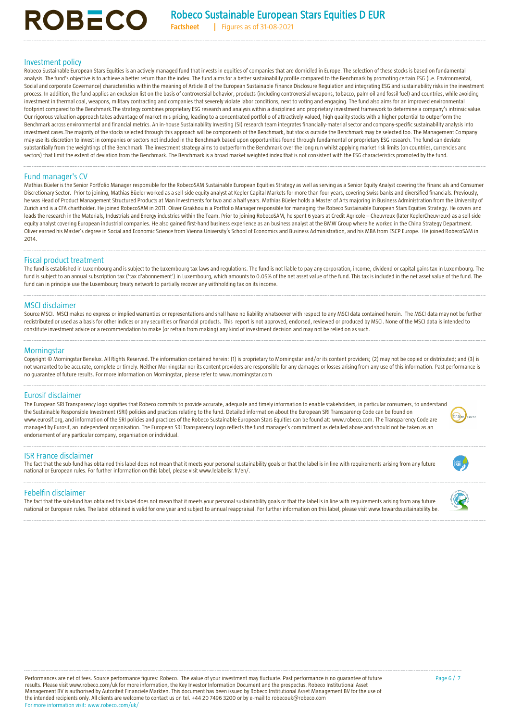**Factsheet |** Figures as of 31-08-2021

### Investment policy

**ROBECO** 

Robeco Sustainable European Stars Equities is an actively managed fund that invests in equities of companies that are domiciled in Europe. The selection of these stocks is based on fundamental analysis. The fund's objective is to achieve a better return than the index. The fund aims for a better sustainability profile compared to the Benchmark by promoting certain ESG (i.e. Environmental, Social and corporate Governance) characteristics within the meaning of Article 8 of the European Sustainable Finance Disclosure Regulation and integrating ESG and sustainability risks in the investment process. In addition, the fund applies an exclusion list on the basis of controversial behavior, products (including controversial weapons, tobacco, palm oil and fossil fuel) and countries, while avoiding investment in thermal coal, weapons, military contracting and companies that severely violate labor conditions, next to voting and engaging. The fund also aims for an improved environmental footprint compared to the Benchmark.The strategy combines proprietary ESG research and analysis within a disciplined and proprietary investment framework to determine a company's intrinsic value. Our rigorous valuation approach takes advantage of market mis-pricing, leading to a concentrated portfolio of attractively-valued, high quality stocks with a higher potential to outperform the Benchmark across environmental and financial metrics. An in-house Sustainability Investing (SI) research team integrates financially-material sector and company-specific sustainability analysis into investment cases.The majority of the stocks selected through this approach will be components of the Benchmark, but stocks outside the Benchmark may be selected too. The Management Company may use its discretion to invest in companies or sectors not included in the Benchmark based upon opportunities found through fundamental or proprietary ESG research. The fund can deviate substantially from the weightings of the Benchmark. The investment strategy aims to outperform the Benchmark over the long run whilst applying market risk limits (on countries, currencies and sectors) that limit the extent of deviation from the Benchmark. The Benchmark is a broad market weighted index that is not consistent with the ESG characteristics promoted by the fund.

# Fund manager's CV

Mathias Büeler is the Senior Portfolio Manager responsible for the RobecoSAM Sustainable European Equities Strategy as well as serving as a Senior Equity Analyst covering the Financials and Consumer Discretionary Sector. Prior to joining, Mathias Büeler worked as a sell-side equity analyst at Kepler Capital Markets for more than four years, covering Swiss banks and diversified financials. Previously, he was Head of Product Management Structured Products at Man Investments for two and a half years. Mathias Büeler holds a Master of Arts majoring in Business Administration from the University of Zurich and is a CFA chartholder. He joined RobecoSAM in 2011. Oliver Girakhou is a Portfolio Manager responsible for managing the Robeco Sustainable European Stars Equities Strategy. He covers and leads the research in the Materials, Industrials and Energy industries within the Team. Prior to joining RobecoSAM, he spent 6 years at Credit Agricole - Cheuvreux (later KeplerCheuvreux) as a sell-side equity analyst covering European industrial companies. He also gained first-hand business experience as an business analyst at the BMW Group where he worked in the China Strategy Department. Oliver earned his Master's degree in Social and Economic Science from Vienna University's School of Economics and Business Administration, and his MBA from ESCP Europe. He joined RobecoSAM in 2014.

# Fiscal product treatment

The fund is established in Luxembourg and is subject to the Luxembourg tax laws and regulations. The fund is not liable to pay any corporation, income, dividend or capital gains tax in Luxembourg. The fund is subject to an annual subscription tax ('tax d'abonnement') in Luxembourg, which amounts to 0.05% of the net asset value of the fund. This tax is included in the net asset value of the fund. The fund can in principle use the Luxembourg treaty network to partially recover any withholding tax on its income.

### MSCI disclaimer

Source MSCI. MSCI makes no express or implied warranties or representations and shall have no liability whatsoever with respect to any MSCI data contained herein. The MSCI data may not be further redistributed or used as a basis for other indices or any securities or financial products. This report is not approved, endorsed, reviewed or produced by MSCI. None of the MSCI data is intended to constitute investment advice or a recommendation to make (or refrain from making) any kind of investment decision and may not be relied on as such.

# **Morningstar**

Copyright © Morningstar Benelux. All Rights Reserved. The information contained herein: (1) is proprietary to Morningstar and/or its content providers; (2) may not be copied or distributed; and (3) is not warranted to be accurate, complete or timely. Neither Morningstar nor its content providers are responsible for any damages or losses arising from any use of this information. Past performance is no guarantee of future results. For more information on Morningstar, please refer t[o www.morningstar.com](http://www.morningstar.com/)

# Eurosif disclaimer

The European SRI Transparency logo signifies that Robeco commits to provide accurate, adequate and timely information to enable stakeholders, in particular consumers, to understand the Sustainable Responsible Investment (SRI) policies and practices relating to the fund. Detailed information about the European SRI Transparency Code can be found on www.eurosif.org, and information of the SRI policies and practices of the Robeco Sustainable European Stars Equities can be found at: www.robeco.com. The Transparency Code are managed by Eurosif, an independent organisation. The European SRI Transparency Logo reflects the fund manager's commitment as detailed above and should not be taken as an endorsement of any particular company, organisation or individual.

#### ISR France disclaimer

The fact that the sub-fund has obtained this label does not mean that it meets your personal sustainability goals or that the label is in line with requirements arising from any future national or European rules. For further information on this label, please visit www.lelabelisr.fr/en/.

#### Febelfin disclaimer

The fact that the sub-fund has obtained this label does not mean that it meets your personal sustainability goals or that the label is in line with requirements arising from any future national or European rules. The label obtained is valid for one year and subject to annual reappraisal. For further information on this label, please visit www.towardssustainability.be.